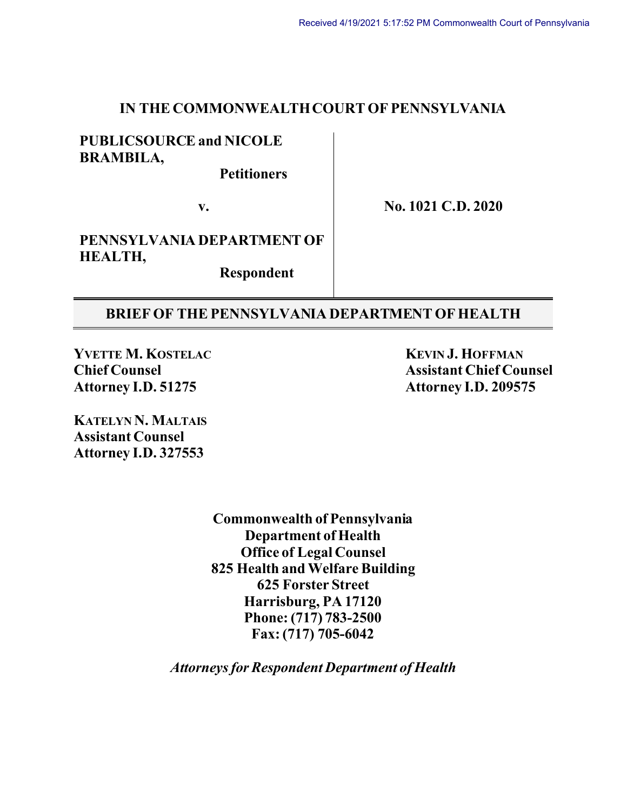#### **IN THE COMMONWEALTH COURT OF PENNSYLVANIA**

### **PUBLICSOURCE and NICOLE BRAMBILA,**

 **Petitioners**

**v.**

**No. 1021 C.D. 2020**

**PENNSYLVANIA DEPARTMENT OF HEALTH,**

 **Respondent**

#### **BRIEF OF THEPENNSYLVANIA DEPARTMENT OF HEALTH**

**YVETTE M. KOSTELAC KEVIN J. HOFFMAN Attorney I.D. 51275 Attorney I.D. 209575**

**Chief Counsel Assistant Chief Counsel**

**KATELYN N. MALTAIS Assistant Counsel Attorney I.D. 327553**

> **Commonwealth of Pennsylvania Department of Health Office of Legal Counsel 825 Health and Welfare Building 625 Forster Street Harrisburg, PA 17120 Phone: (717) 783-2500 Fax: (717) 705-6042**

*Attorneys for Respondent Department of Health*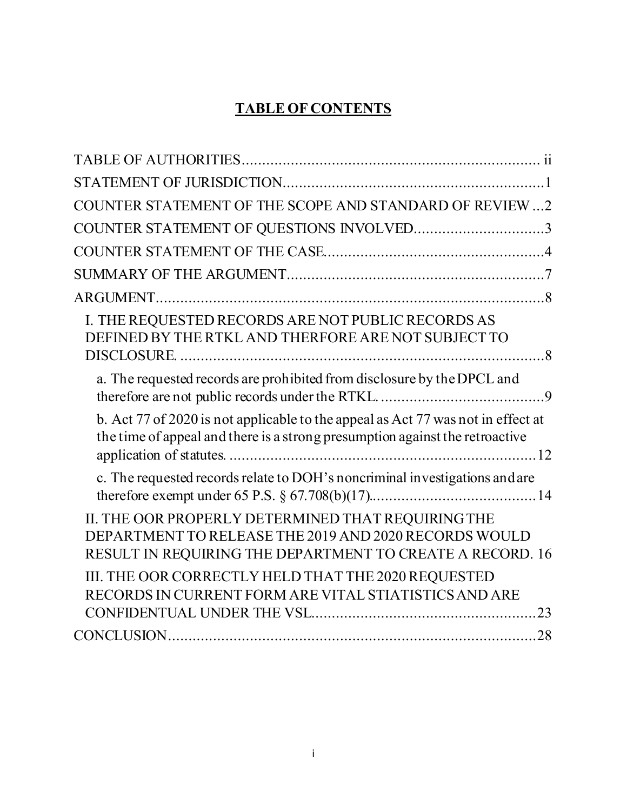# **TABLE OF CONTENTS**

| COUNTER STATEMENT OF THE SCOPE AND STANDARD OF REVIEW2                                                                                                                   |  |
|--------------------------------------------------------------------------------------------------------------------------------------------------------------------------|--|
| COUNTER STATEMENT OF QUESTIONS INVOLVED3                                                                                                                                 |  |
|                                                                                                                                                                          |  |
|                                                                                                                                                                          |  |
|                                                                                                                                                                          |  |
| I. THE REQUESTED RECORDS ARE NOT PUBLIC RECORDS AS<br>DEFINED BY THE RTKL AND THERFORE ARE NOT SUBJECT TO                                                                |  |
| a. The requested records are prohibited from disclosure by the DPCL and                                                                                                  |  |
| b. Act 77 of 2020 is not applicable to the appeal as Act 77 was not in effect at<br>the time of appeal and there is a strong presumption against the retroactive         |  |
| c. The requested records relate to DOH's noncriminal investigations and are                                                                                              |  |
| II. THE OOR PROPERLY DETERMINED THAT REQUIRING THE<br>DEPARTMENT TO RELEASE THE 2019 AND 2020 RECORDS WOULD<br>RESULT IN REQUIRING THE DEPARTMENT TO CREATE A RECORD. 16 |  |
| III. THE OOR CORRECTLY HELD THAT THE 2020 REQUESTED<br>RECORDS IN CURRENT FORM ARE VITAL STIATISTICS AND ARE                                                             |  |
|                                                                                                                                                                          |  |
|                                                                                                                                                                          |  |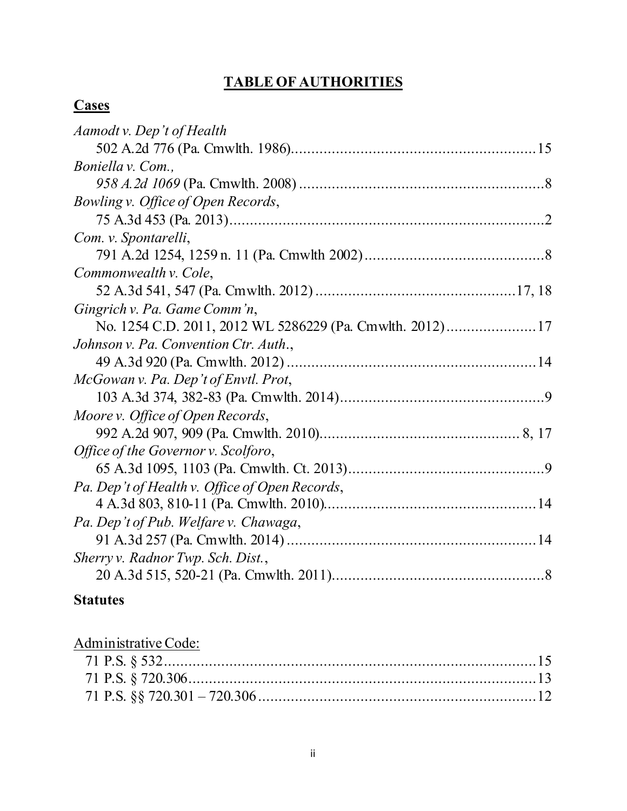# **TABLE OF AUTHORITIES**

# <span id="page-2-0"></span>**Cases**

## **Statutes**

| Administrative Code: |  |
|----------------------|--|
|                      |  |
|                      |  |
|                      |  |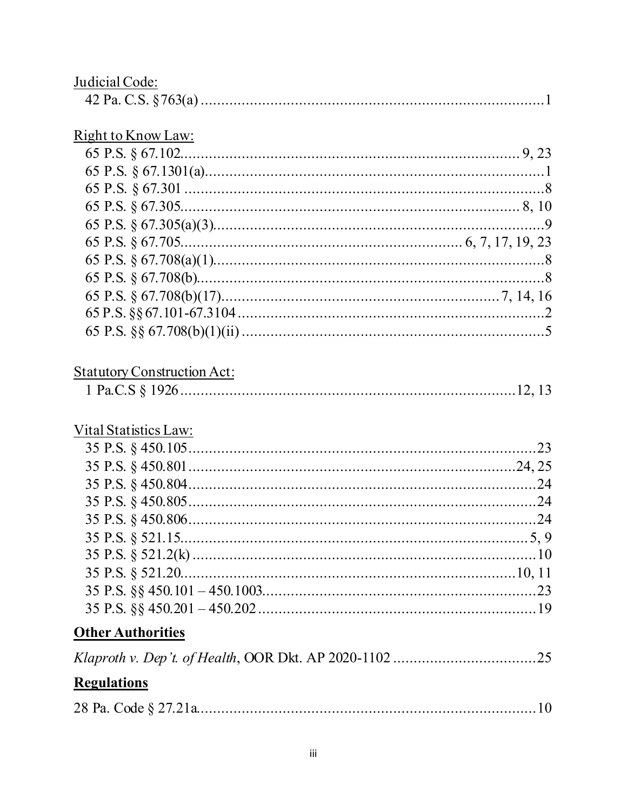| Judicial Code:                     |  |
|------------------------------------|--|
|                                    |  |
|                                    |  |
| <u>Right to Know Law:</u>          |  |
|                                    |  |
|                                    |  |
|                                    |  |
|                                    |  |
|                                    |  |
|                                    |  |
|                                    |  |
|                                    |  |
|                                    |  |
|                                    |  |
|                                    |  |
|                                    |  |
| <b>Statutory Construction Act:</b> |  |
|                                    |  |
|                                    |  |
| Vital Statistics Law:              |  |
|                                    |  |
|                                    |  |
|                                    |  |
|                                    |  |
|                                    |  |
|                                    |  |
|                                    |  |
|                                    |  |
|                                    |  |
|                                    |  |
|                                    |  |
| <b>Other Authorities</b>           |  |
|                                    |  |
| <b>Regulations</b>                 |  |
|                                    |  |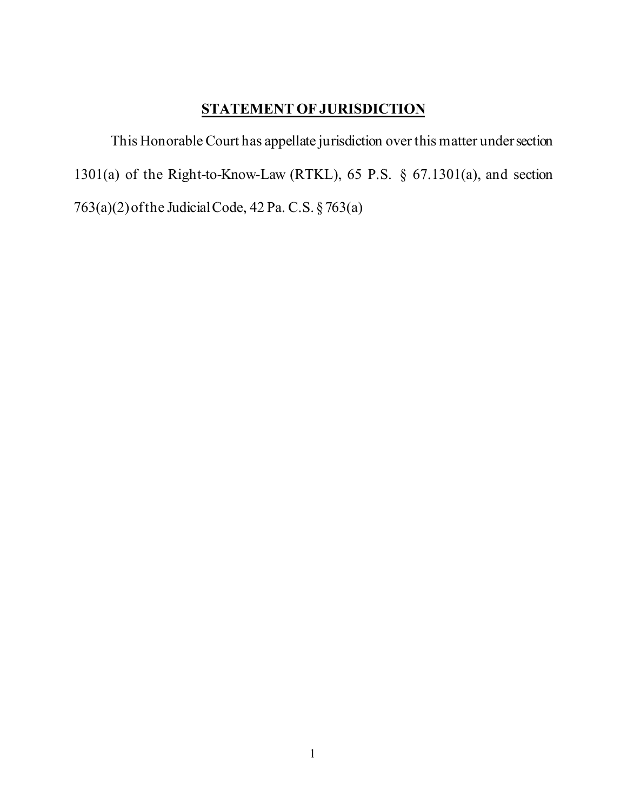# **STATEMENT OF JURISDICTION**

<span id="page-4-0"></span>This Honorable Court has appellate jurisdiction over this matter undersection 1301(a) of the Right-to-Know-Law (RTKL), 65 P.S. § 67.1301(a), and section 763(a)(2)ofthe JudicialCode, 42 Pa. C.S. §763(a)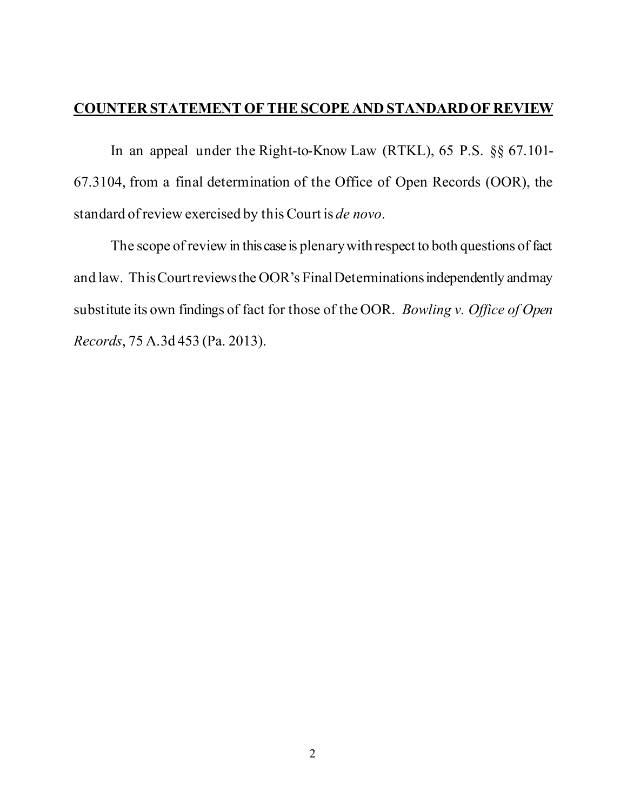#### <span id="page-5-0"></span>**COUNTER STATEMENT OF THE SCOPE AND STANDARD OF REVIEW**

In an appeal under the Right-to-Know Law (RTKL), 65 P.S. §§ 67.101- 67.3104, from a final determination of the Office of Open Records (OOR), the standard of review exercised by this Court is *de novo*.

The scope of review in this case is plenary with respect to both questions of fact and law. This Courtreviewsthe OOR's Final Determinationsindependently andmay substitute its own findings of fact for those of the OOR. *Bowling v. Office of Open Records*, 75 A.3d 453 (Pa. 2013).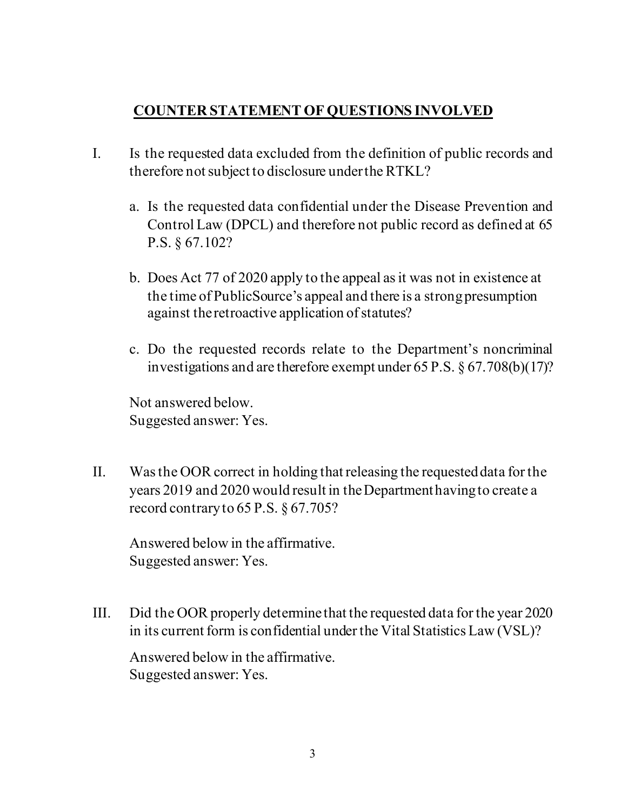## **COUNTER STATEMENT OF QUESTIONS INVOLVED**

- <span id="page-6-0"></span>I. Is the requested data excluded from the definition of public records and therefore not subject to disclosure under the RTKL?
	- a. Is the requested data confidential under the Disease Prevention and Control Law (DPCL) and therefore not public record as defined at 65 P.S. § 67.102?
	- b. Does Act 77 of 2020 apply to the appeal as it was not in existence at the time of PublicSource's appeal and there is a strong presumption against the retroactive application of statutes?
	- c. Do the requested records relate to the Department's noncriminal investigations and are therefore exempt under 65 P.S. § 67.708(b)(17)?

Not answered below. Suggested answer: Yes.

II. Was the OOR correct in holding that releasing the requested data for the years 2019 and 2020 would result in the Department havingto create a record contraryto 65 P.S. § 67.705?

Answered below in the affirmative. Suggested answer: Yes.

III. Did the OOR properly determine that the requested data for the year 2020 in its current form is confidential under the Vital Statistics Law (VSL)?

Answered below in the affirmative. Suggested answer: Yes.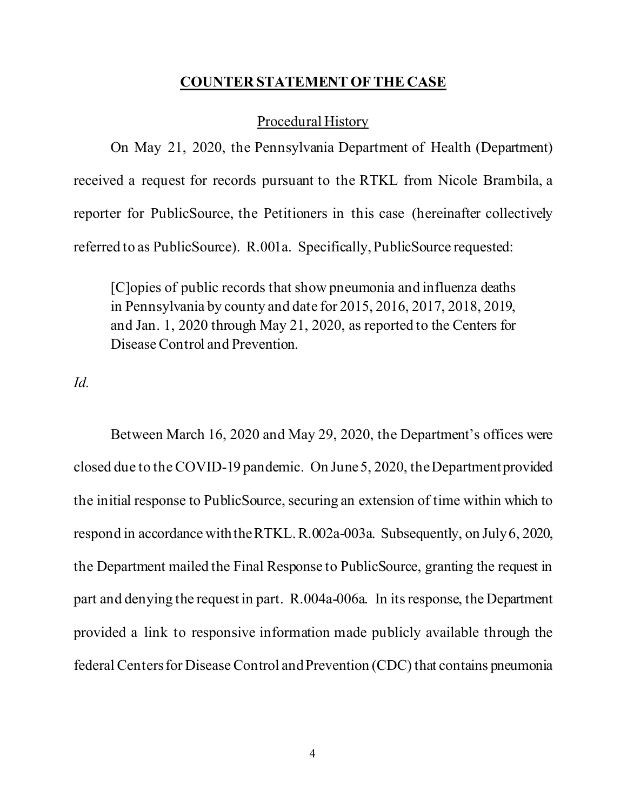#### **COUNTER STATEMENT OF THE CASE**

#### Procedural History

<span id="page-7-0"></span>On May 21, 2020, the Pennsylvania Department of Health (Department) received a request for records pursuant to the RTKL from Nicole Brambila, a reporter for PublicSource, the Petitioners in this case (hereinafter collectively referred to as PublicSource). R.001a. Specifically, PublicSource requested:

[C]opies of public records that show pneumonia and influenza deaths in Pennsylvania by county and date for 2015, 2016, 2017, 2018, 2019, and Jan. 1, 2020 through May 21, 2020, as reported to the Centers for Disease Control and Prevention.

*Id.*

Between March 16, 2020 and May 29, 2020, the Department's offices were closed due to the COVID-19 pandemic. On June 5, 2020, the Departmentprovided the initial response to PublicSource, securing an extension of time within which to respond in accordance with the RTKL.R.002a-003a. Subsequently, on July 6, 2020, the Department mailed the Final Response to PublicSource, granting the request in part and denying the request in part. R.004a-006a. In its response, the Department provided a link to responsive information made publicly available through the federal Centers for Disease Control and Prevention (CDC) that contains pneumonia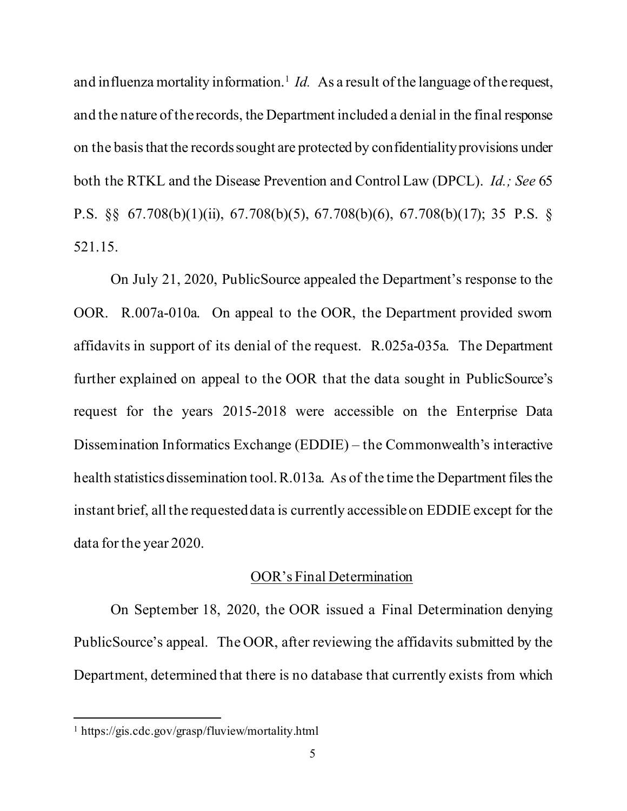and influenza mortality information.<sup>1</sup> *Id.* As a result of the language of the request, and the nature of the records, the Department included a denial in the final response on the basis that the records sought are protected by confidentiality provisions under both the RTKL and the Disease Prevention and Control Law (DPCL). *Id.; See* 65 P.S. §§ 67.708(b)(1)(ii), 67.708(b)(5), 67.708(b)(6), 67.708(b)(17); 35 P.S. § 521.15.

On July 21, 2020, PublicSource appealed the Department's response to the OOR. R.007a-010a. On appeal to the OOR, the Department provided sworn affidavits in support of its denial of the request. R.025a-035a. The Department further explained on appeal to the OOR that the data sought in PublicSource's request for the years 2015-2018 were accessible on the Enterprise Data Dissemination Informatics Exchange (EDDIE) – the Commonwealth's interactive health statistics dissemination tool. R.013a. As of the time the Department files the instant brief, all the requested data is currently accessible on EDDIE except for the data for the year 2020.

#### OOR's Final Determination

On September 18, 2020, the OOR issued a Final Determination denying PublicSource's appeal. The OOR, after reviewing the affidavits submitted by the Department, determined that there is no database that currently exists from which

<span id="page-8-0"></span><sup>1</sup> https://gis.cdc.gov/grasp/fluview/mortality.html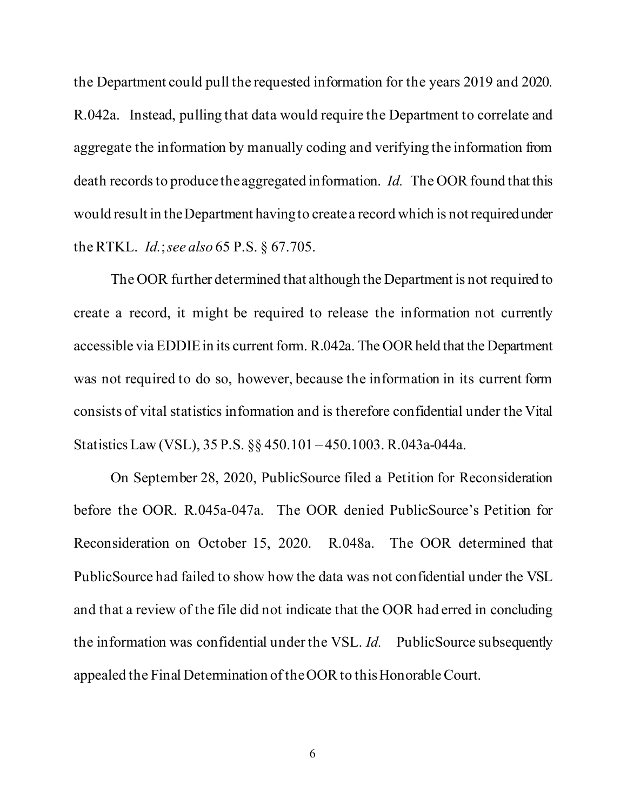the Department could pull the requested information for the years 2019 and 2020. R.042a. Instead, pulling that data would require the Department to correlate and aggregate the information by manually coding and verifying the information from death records to produce the aggregated information. *Id.* The OOR found that this would result in the Department having to create a record which is notrequired under the RTKL. *Id.*; *see also* 65 P.S. § 67.705.

The OOR further determined that although the Department is not required to create a record, it might be required to release the information not currently accessible via EDDIE in its current form. R.042a. The OOR held that the Department was not required to do so, however, because the information in its current form consists of vital statistics information and is therefore confidential under the Vital Statistics Law (VSL), 35 P.S. §§ 450.101 – 450.1003. R.043a-044a.

On September 28, 2020, PublicSource filed a Petition for Reconsideration before the OOR. R.045a-047a. The OOR denied PublicSource's Petition for Reconsideration on October 15, 2020. R.048a. The OOR determined that PublicSource had failed to show how the data was not confidential under the VSL and that a review of the file did not indicate that the OOR had erred in concluding the information was confidential under the VSL. *Id.* PublicSource subsequently appealed the Final Determination of the OOR to this Honorable Court.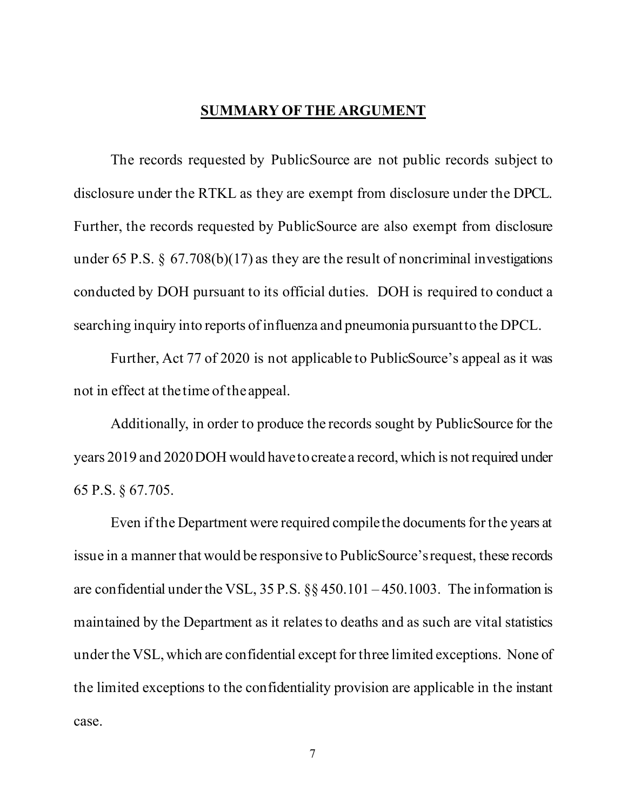#### **SUMMARY OF THE ARGUMENT**

<span id="page-10-0"></span>The records requested by PublicSource are not public records subject to disclosure under the RTKL as they are exempt from disclosure under the DPCL. Further, the records requested by PublicSource are also exempt from disclosure under 65 P.S.  $\S$  67.708(b)(17) as they are the result of noncriminal investigations conducted by DOH pursuant to its official duties. DOH is required to conduct a searching inquiry into reports of influenza and pneumonia pursuant to the DPCL.

Further, Act 77 of 2020 is not applicable to PublicSource's appeal as it was not in effect at the time of the appeal.

Additionally, in order to produce the records sought by PublicSource for the years 2019 and 2020 DOH would have to create a record, which is not required under 65 P.S. § 67.705.

Even if the Department were required compile the documents for the years at issue in a manner that would be responsive to PublicSource's request, these records are confidential under the VSL,  $35$  P.S.  $\S$   $\S$   $450.101 - 450.1003$ . The information is maintained by the Department as it relates to deaths and as such are vital statistics under the VSL, which are confidential except for three limited exceptions. None of the limited exceptions to the confidentiality provision are applicable in the instant case.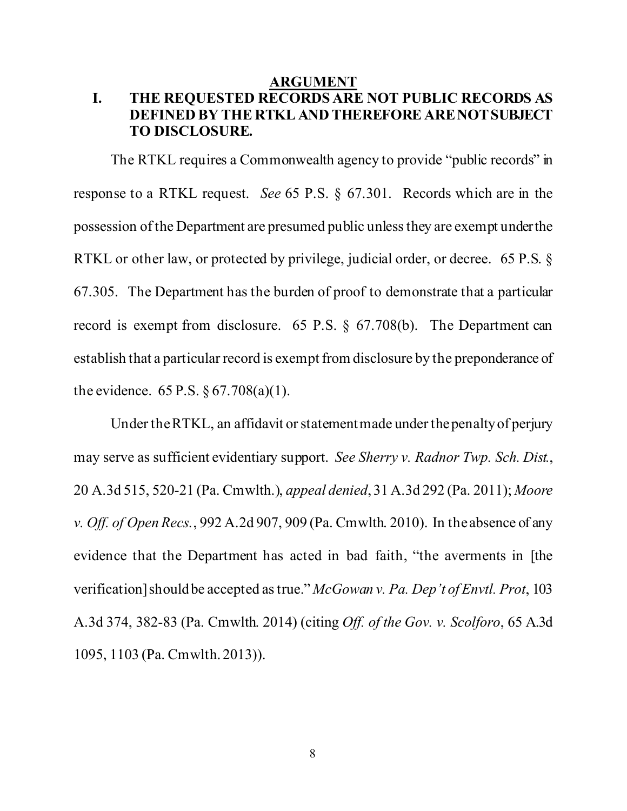#### **ARGUMENT**

## <span id="page-11-1"></span><span id="page-11-0"></span>**I. THE REQUESTED RECORDS ARE NOT PUBLIC RECORDS AS DEFINED BY THE RTKL AND THEREFORE ARE NOTSUBJECT TO DISCLOSURE.**

The RTKL requires a Commonwealth agency to provide "public records" in response to a RTKL request. *See* 65 P.S. § 67.301. Records which are in the possession of the Department are presumed public unless they are exempt under the RTKL or other law, or protected by privilege, judicial order, or decree. 65 P.S. § 67.305. The Department has the burden of proof to demonstrate that a particular record is exempt from disclosure. 65 P.S. § 67.708(b). The Department can establish that a particular record is exempt from disclosure by the preponderance of the evidence.  $65 P.S. \S 67.708(a)(1)$ .

Under the RTKL, an affidavit or statement made under the penalty of perjury may serve as sufficient evidentiary support. *See Sherry v. Radnor Twp. Sch. Dist.*, 20 A.3d 515, 520-21 (Pa. Cmwlth.), *appeal denied*, 31 A.3d 292 (Pa. 2011); *Moore v. Off. of Open Recs.*, 992 A.2d 907, 909 (Pa. Cmwlth. 2010). In the absence of any evidence that the Department has acted in bad faith, "the averments in [the verification] should be accepted as true." *McGowan v. Pa. Dep't of Envtl. Prot*, 103 A.3d 374, 382-83 (Pa. Cmwlth. 2014) (citing *Off. of the Gov. v. Scolforo*, 65 A.3d 1095, 1103 (Pa. Cmwlth. 2013)).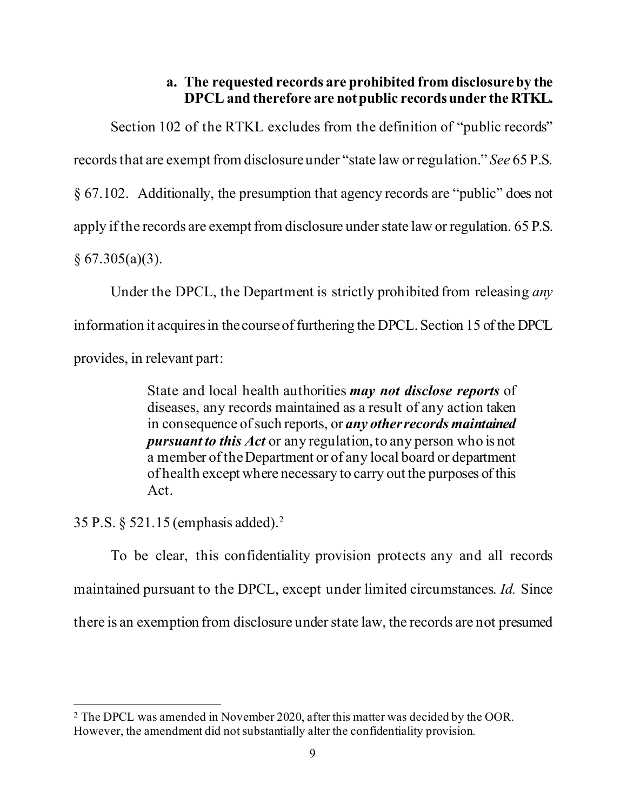### **a. The requested records are prohibited from disclosure by the DPCL and therefore are not public recordsunder the RTKL.**

<span id="page-12-0"></span>Section 102 of the RTKL excludes from the definition of "public records" records that are exempt from disclosure under "state law or regulation." *See* 65 P.S. § 67.102. Additionally, the presumption that agency records are "public" does not apply if the records are exempt from disclosure under state law or regulation. 65 P.S.  $§ 67.305(a)(3).$ 

Under the DPCL, the Department is strictly prohibited from releasing *any*  information it acquires in the course of furthering the DPCL. Section 15 of the DPCL provides, in relevant part:

> State and local health authorities *may not disclose reports* of diseases, any records maintained as a result of any action taken in consequence of such reports, or *any other records maintained pursuant to this Act* or any regulation, to any person who is not a member of the Department or of any local board or department of health except where necessary to carry out the purposes of this Act.

35 P.S. § 521.15 (emphasis added).[2](#page-12-1)

To be clear, this confidentiality provision protects any and all records maintained pursuant to the DPCL, except under limited circumstances. *Id.* Since there is an exemption from disclosure under state law, the records are not presumed

<span id="page-12-1"></span><sup>2</sup> The DPCL was amended in November 2020, after this matter was decided by the OOR. However, the amendment did not substantially alter the confidentiality provision.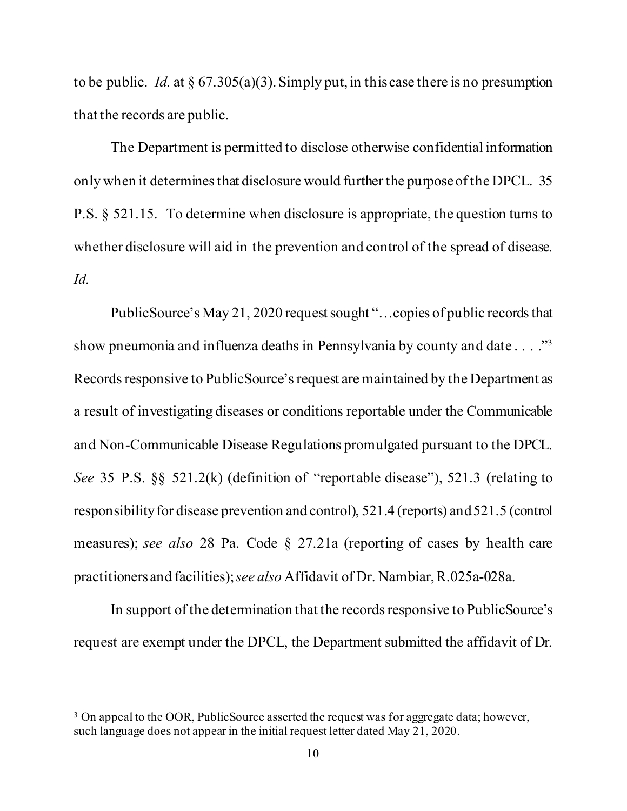to be public. *Id.* at § 67.305(a)(3). Simply put, in this case there is no presumption that the records are public.

The Department is permitted to disclose otherwise confidential information only when it determines that disclosure would further the purpose of the DPCL. 35 P.S. § 521.15. To determine when disclosure is appropriate, the question turns to whether disclosure will aid in the prevention and control of the spread of disease. *Id.*

PublicSource's May 21, 2020 request sought "…copies of public records that show pneumonia and influenza deaths in Pennsylvania by county and date . . . ."<sup>3</sup> Records responsive to PublicSource's request are maintained by the Department as a result of investigating diseases or conditions reportable under the Communicable and Non-Communicable Disease Regulations promulgated pursuant to the DPCL. *See* 35 P.S. §§ 521.2(k) (definition of "reportable disease"), 521.3 (relating to responsibility for disease prevention and control), 521.4 (reports) and 521.5 (control measures); *see also* 28 Pa. Code § 27.21a (reporting of cases by health care practitioners and facilities);*see also* Affidavit of Dr. Nambiar, R.025a-028a.

In support of the determination that the records responsive to PublicSource's request are exempt under the DPCL, the Department submitted the affidavit of Dr.

<span id="page-13-0"></span><sup>&</sup>lt;sup>3</sup> On appeal to the OOR, PublicSource asserted the request was for aggregate data; however, such language does not appear in the initial request letter dated May 21, 2020.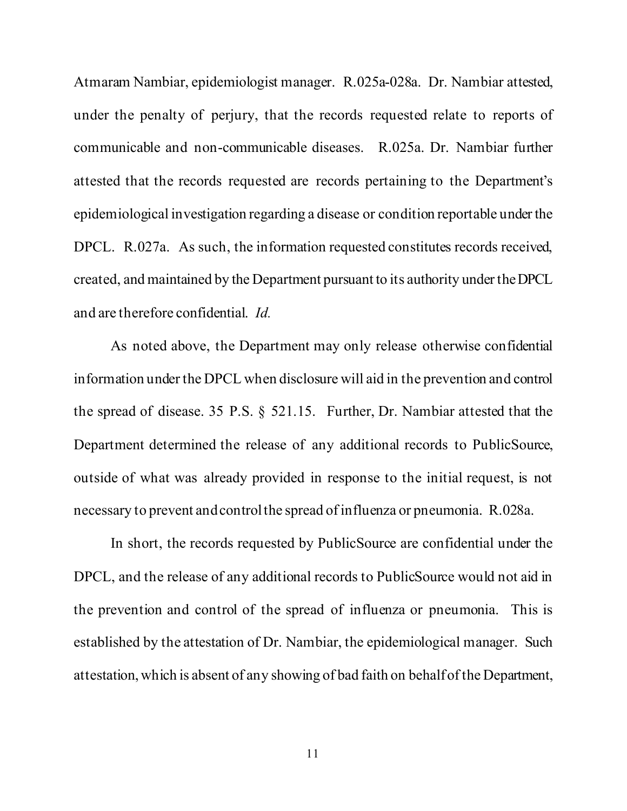Atmaram Nambiar, epidemiologist manager. R.025a-028a. Dr. Nambiar attested, under the penalty of perjury, that the records requested relate to reports of communicable and non-communicable diseases. R.025a. Dr. Nambiar further attested that the records requested are records pertaining to the Department's epidemiological investigation regarding a disease or condition reportable under the DPCL. R.027a. As such, the information requested constitutes records received, created, and maintained by the Department pursuant to its authority under the DPCL and are therefore confidential. *Id.*

As noted above, the Department may only release otherwise confidential information under the DPCL when disclosure will aid in the prevention and control the spread of disease. 35 P.S. § 521.15. Further, Dr. Nambiar attested that the Department determined the release of any additional records to PublicSource, outside of what was already provided in response to the initial request, is not necessary to prevent and control the spread of influenza or pneumonia. R.028a.

In short, the records requested by PublicSource are confidential under the DPCL, and the release of any additional records to PublicSource would not aid in the prevention and control of the spread of influenza or pneumonia. This is established by the attestation of Dr. Nambiar, the epidemiological manager. Such attestation, which is absent of any showing of bad faith on behalf of the Department,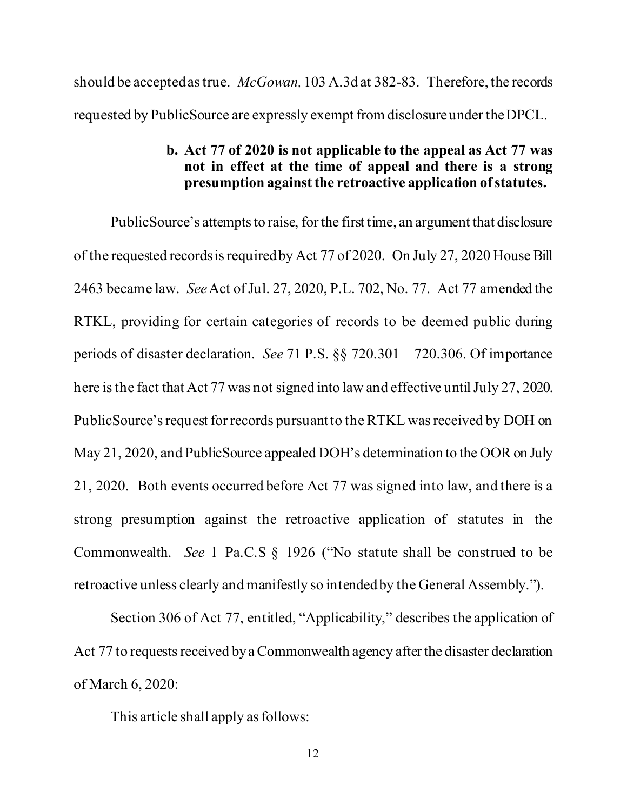<span id="page-15-0"></span>should be accepted astrue. *McGowan,* 103 A.3d at 382-83. Therefore, the records requested by PublicSource are expressly exempt from disclosure under the DPCL.

#### **b. Act 77 of 2020 is not applicable to the appeal as Act 77 was not in effect at the time of appeal and there is a strong presumption against the retroactive application of statutes.**

PublicSource's attempts to raise, for the first time, an argument that disclosure of the requested records is required by Act 77 of 2020. On July 27, 2020 House Bill 2463 became law. *See*Act of Jul. 27, 2020, P.L. 702, No. 77. Act 77 amended the RTKL, providing for certain categories of records to be deemed public during periods of disaster declaration. *See* 71 P.S. §§ 720.301 – 720.306. Of importance here is the fact that Act 77 was not signed into law and effective until July 27, 2020. PublicSource's request for records pursuant to the RTKL was received by DOH on May 21, 2020, and PublicSource appealed DOH's determination to the OOR on July 21, 2020. Both events occurred before Act 77 was signed into law, and there is a strong presumption against the retroactive application of statutes in the Commonwealth. *See* 1 Pa.C.S § 1926 ("No statute shall be construed to be retroactive unless clearly and manifestly so intended by the General Assembly.").

Section 306 of Act 77, entitled, "Applicability," describes the application of Act 77 to requests received by a Commonwealth agency after the disaster declaration of March 6, 2020:

This article shall apply as follows: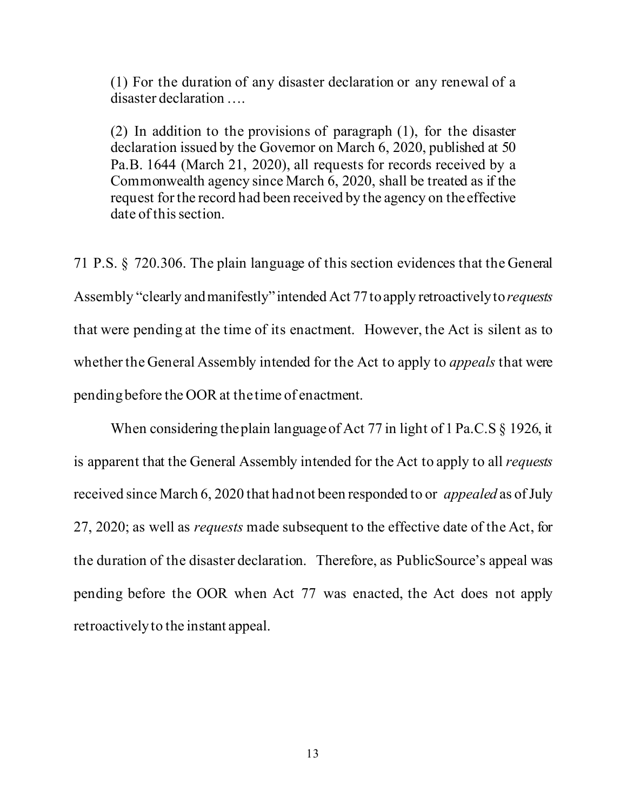(1) For the duration of any disaster declaration or any renewal of a disaster declaration ….

(2) In addition to the provisions of paragraph (1), for the disaster declaration issued by the Governor on March 6, 2020, published at 50 Pa.B. 1644 (March 21, 2020), all requests for records received by a Commonwealth agency since March 6, 2020, shall be treated as if the request for the record had been received by the agency on the effective date of this section.

71 P.S. § 720.306. The plain language of this section evidences that the General Assembly "clearly and manifestly" intended Act 77 to apply retroactively to *requests*  that were pending at the time of its enactment. However, the Act is silent as to whether the General Assembly intended for the Act to apply to *appeals* that were pending before the OOR at the time of enactment.

When considering the plain language of Act 77 in light of 1 Pa.C.S § 1926, it is apparent that the General Assembly intended for the Act to apply to all *requests*  received since March 6, 2020 that had not been responded to or *appealed* as of July 27, 2020; as well as *requests* made subsequent to the effective date of the Act, for the duration of the disaster declaration. Therefore, as PublicSource's appeal was pending before the OOR when Act 77 was enacted, the Act does not apply retroactively to the instant appeal.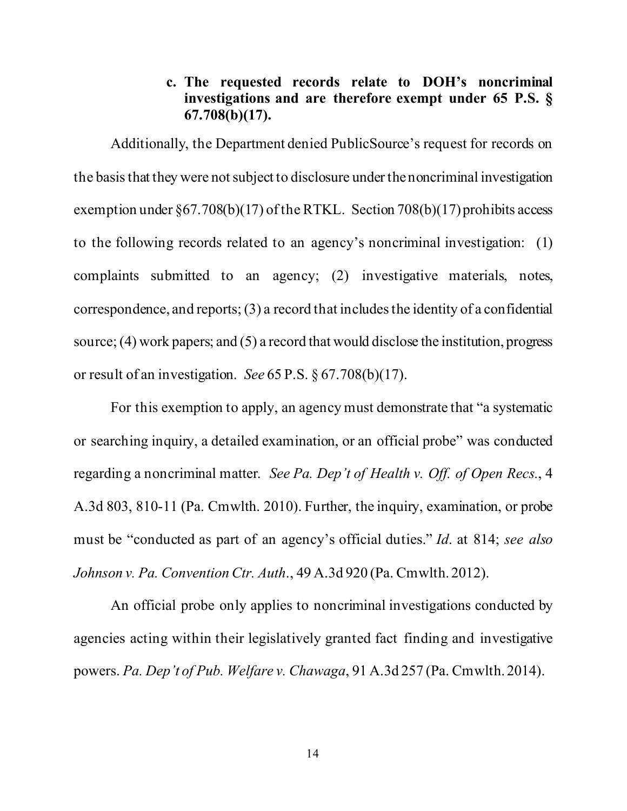### **c. The requested records relate to DOH's noncriminal investigations and are therefore exempt under 65 P.S. § 67.708(b)(17).**

<span id="page-17-0"></span>Additionally, the Department denied PublicSource's request for records on the basis that they were not subject to disclosure under the noncriminal investigation exemption under §67.708(b)(17) of the RTKL. Section 708(b)(17) prohibits access to the following records related to an agency's noncriminal investigation: (1) complaints submitted to an agency; (2) investigative materials, notes, correspondence, and reports; (3) a record that includes the identity of a confidential source; (4) work papers; and (5) a record that would disclose the institution, progress or result of an investigation. *See* 65 P.S. § 67.708(b)(17).

For this exemption to apply, an agency must demonstrate that "a systematic or searching inquiry, a detailed examination, or an official probe" was conducted regarding a noncriminal matter. *See Pa. Dep't of Health v. Off. of Open Recs.*, 4 A.3d 803, 810-11 (Pa. Cmwlth. 2010). Further, the inquiry, examination, or probe must be "conducted as part of an agency's official duties." *Id*. at 814; *see also Johnson v. Pa. Convention Ctr. Auth*., 49 A.3d 920 (Pa. Cmwlth. 2012).

An official probe only applies to noncriminal investigations conducted by agencies acting within their legislatively granted fact finding and investigative powers. *Pa. Dep't of Pub. Welfare v. Chawaga*, 91 A.3d 257 (Pa. Cmwlth. 2014).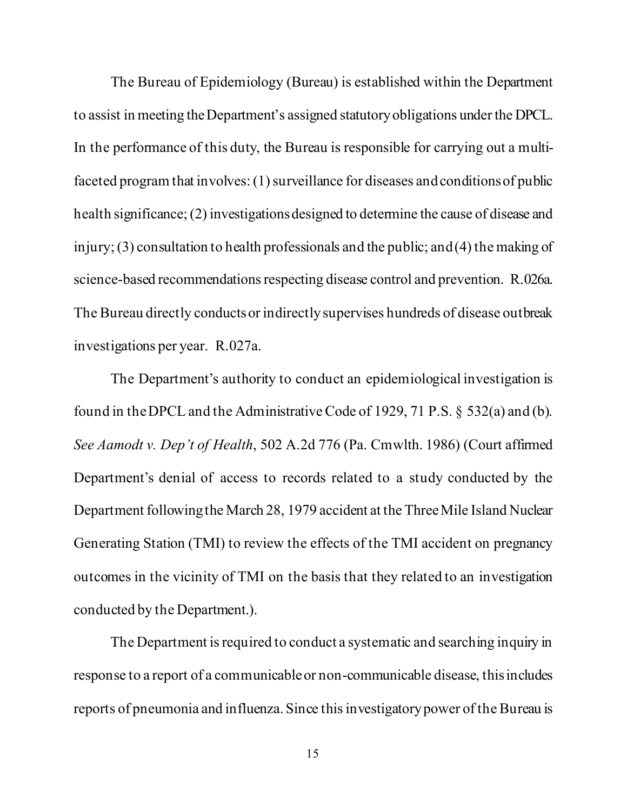The Bureau of Epidemiology (Bureau) is established within the Department to assist in meeting the Department's assigned statutory obligations under the DPCL. In the performance of this duty, the Bureau is responsible for carrying out a multifaceted program that involves: (1) surveillance for diseases and conditions of public health significance; (2) investigations designed to determine the cause of disease and injury; (3) consultation to health professionals and the public; and (4) the making of science-based recommendations respecting disease control and prevention. R.026a. The Bureau directly conducts or indirectly supervises hundreds of disease outbreak investigations per year. R.027a.

The Department's authority to conduct an epidemiological investigation is found in the DPCL and the Administrative Code of 1929, 71 P.S. § 532(a) and (b). *See Aamodt v. Dep't of Health*, 502 A.2d 776 (Pa. Cmwlth. 1986) (Court affirmed Department's denial of access to records related to a study conducted by the Department following the March 28, 1979 accident at the Three Mile Island Nuclear Generating Station (TMI) to review the effects of the TMI accident on pregnancy outcomes in the vicinity of TMI on the basis that they related to an investigation conducted by the Department.).

The Department is required to conduct a systematic and searching inquiry in response to a report of a communicable or non-communicable disease, this includes reports of pneumonia and influenza. Since this investigatory power of the Bureau is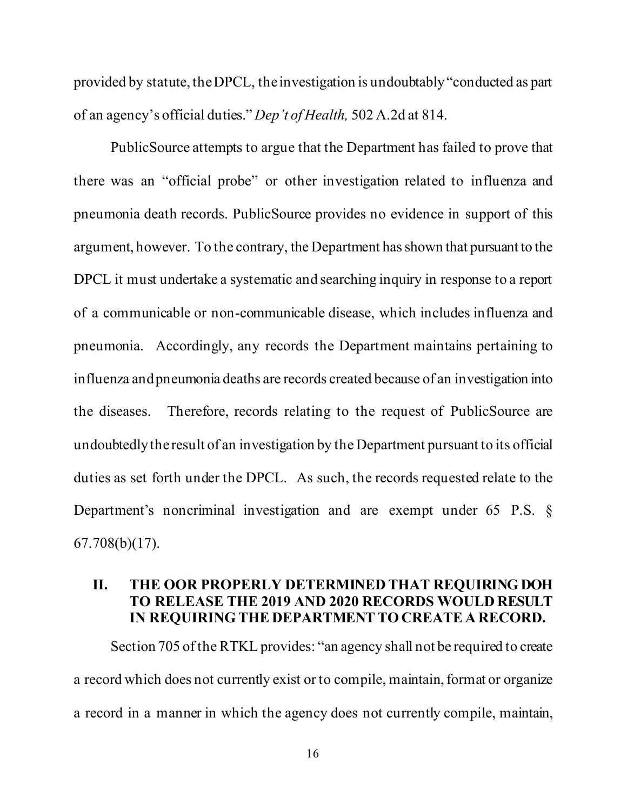provided by statute, the DPCL, the investigation is undoubtably "conducted as part of an agency's official duties." *Dep't of Health,* 502 A.2d at 814.

PublicSource attempts to argue that the Department has failed to prove that there was an "official probe" or other investigation related to influenza and pneumonia death records. PublicSource provides no evidence in support of this argument, however. To the contrary, the Department has shown that pursuant to the DPCL it must undertake a systematic and searching inquiry in response to a report of a communicable or non-communicable disease, which includes influenza and pneumonia. Accordingly, any records the Department maintains pertaining to influenza andpneumonia deaths are records created because of an investigation into the diseases. Therefore, records relating to the request of PublicSource are undoubtedly the result of an investigation by the Department pursuant to its official duties as set forth under the DPCL. As such, the records requested relate to the Department's noncriminal investigation and are exempt under 65 P.S. § 67.708(b)(17).

### <span id="page-19-0"></span>**II. THE OOR PROPERLY DETERMINED THAT REQUIRING DOH TO RELEASE THE 2019 AND 2020 RECORDS WOULD RESULT IN REQUIRING THE DEPARTMENT TO CREATE A RECORD.**

Section 705 of the RTKL provides: "an agency shall not be required to create a record which does not currently exist or to compile, maintain, format or organize a record in a manner in which the agency does not currently compile, maintain,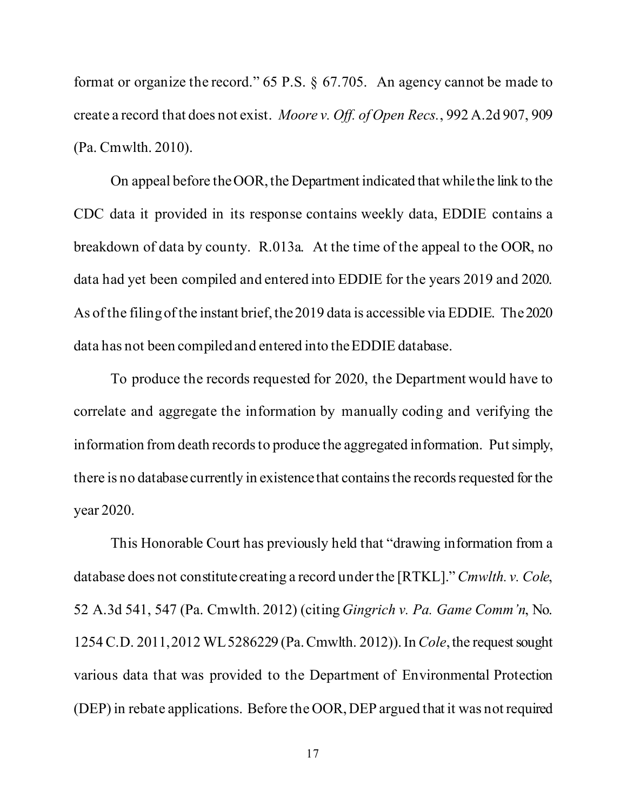format or organize the record." 65 P.S. § 67.705. An agency cannot be made to create a record that does not exist. *Moore v. Off. of Open Recs.*, 992 A.2d 907, 909 (Pa. Cmwlth. 2010).

On appeal before the OOR, the Department indicated that while the link to the CDC data it provided in its response contains weekly data, EDDIE contains a breakdown of data by county. R.013a. At the time of the appeal to the OOR, no data had yet been compiled and entered into EDDIE for the years 2019 and 2020. As of the filing of the instant brief, the 2019 data is accessible via EDDIE. The 2020 data has not been compiled and entered into the EDDIE database.

To produce the records requested for 2020, the Department would have to correlate and aggregate the information by manually coding and verifying the information from death records to produce the aggregated information. Put simply, there is no database currently in existence that contains the records requested for the year 2020.

This Honorable Court has previously held that "drawing information from a database does not constitute creating a record under the [RTKL]." *Cmwlth. v. Cole*, 52 A.3d 541, 547 (Pa. Cmwlth. 2012) (citing *Gingrich v. Pa. Game Comm'n*, No. 1254 C.D. 2011,2012 WL5286229 (Pa. Cmwlth. 2012)).In *Cole*, the request sought various data that was provided to the Department of Environmental Protection (DEP) in rebate applications. Before the OOR, DEP argued that it was not required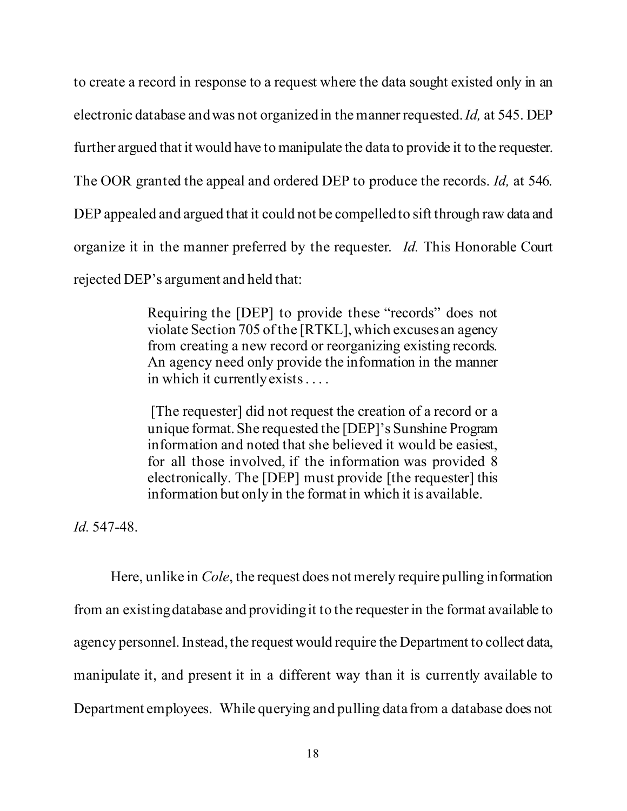to create a record in response to a request where the data sought existed only in an electronic database and was not organized in the manner requested. *Id,* at 545. DEP further argued that it would have to manipulate the data to provide it to the requester. The OOR granted the appeal and ordered DEP to produce the records. *Id,* at 546. DEP appealed and argued that it could not be compelled to sift through raw data and organize it in the manner preferred by the requester. *Id.* This Honorable Court rejected DEP's argument and held that:

> Requiring the [DEP] to provide these "records" does not violate Section 705 of the [RTKL], which excuses an agency from creating a new record or reorganizing existing records. An agency need only provide the information in the manner in which it currently exists. . . .

> [The requester] did not request the creation of a record or a unique format. She requested the [DEP]'s Sunshine Program information and noted that she believed it would be easiest, for all those involved, if the information was provided 8 electronically. The [DEP] must provide [the requester] this information but only in the format in which it is available.

*Id.* 547-48.

Here, unlike in *Cole*, the request does not merely require pulling information from an existingdatabase and providing it to the requester in the format available to agency personnel. Instead, the request would require the Department to collect data, manipulate it, and present it in a different way than it is currently available to Department employees. While querying and pulling data from a database does not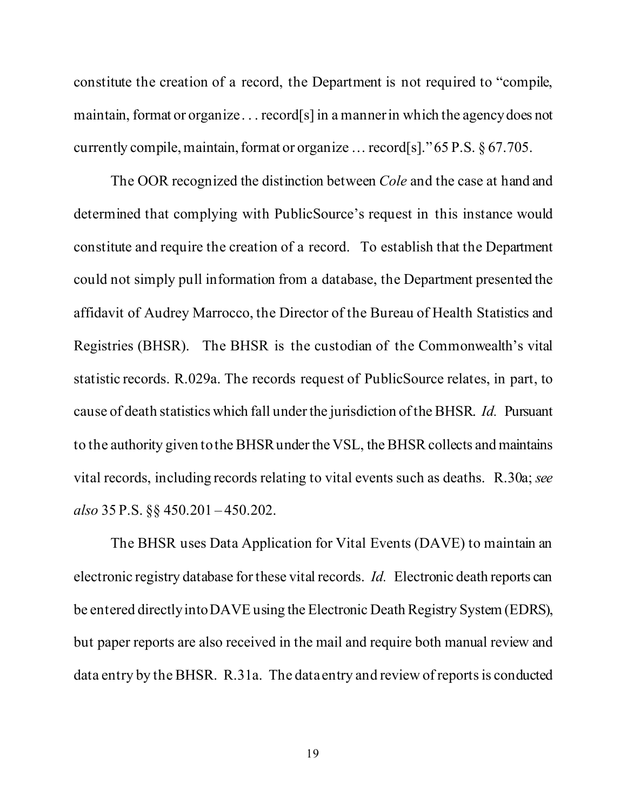constitute the creation of a record, the Department is not required to "compile, maintain, format or organize . . . record[s] in a manner in which the agency does not currently compile, maintain, format or organize … record[s]." 65 P.S. § 67.705.

The OOR recognized the distinction between *Cole* and the case at hand and determined that complying with PublicSource's request in this instance would constitute and require the creation of a record. To establish that the Department could not simply pull information from a database, the Department presented the affidavit of Audrey Marrocco, the Director of the Bureau of Health Statistics and Registries (BHSR). The BHSR is the custodian of the Commonwealth's vital statistic records. R.029a. The records request of PublicSource relates, in part, to cause of death statistics which fall under the jurisdiction of the BHSR. *Id.* Pursuant to the authority given to the BHSRunder the VSL, the BHSR collects and maintains vital records, including records relating to vital events such as deaths. R.30a; *see also* 35 P.S. §§ 450.201 – 450.202.

The BHSR uses Data Application for Vital Events (DAVE) to maintain an electronic registry database for these vital records. *Id.* Electronic death reports can be entered directly into DAVE using the Electronic Death Registry System (EDRS), but paper reports are also received in the mail and require both manual review and data entry by the BHSR. R.31a. The data entry and review of reports is conducted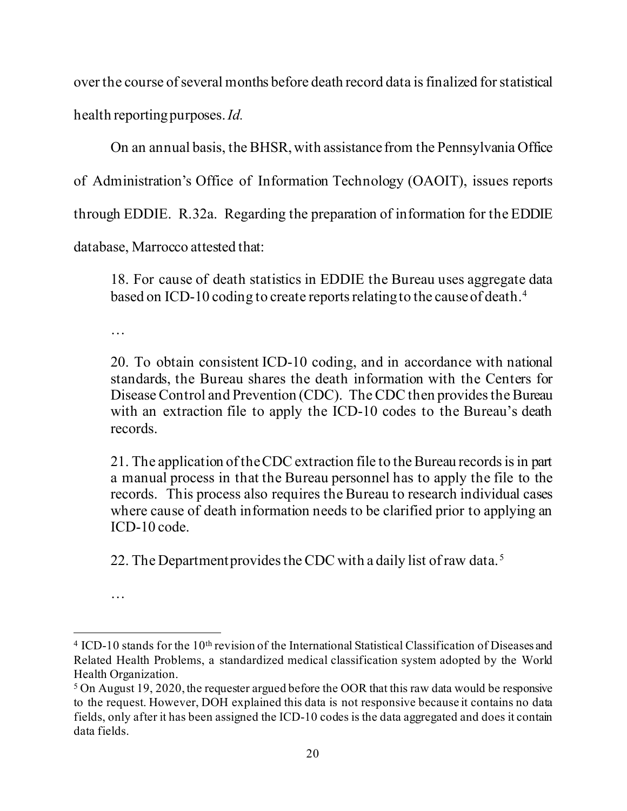over the course of several months before death record data is finalized for statistical health reporting purposes. *Id.*

On an annual basis, the BHSR, with assistance from the Pennsylvania Office

of Administration's Office of Information Technology (OAOIT), issues reports

through EDDIE. R.32a. Regarding the preparation of information for the EDDIE

database, Marrocco attested that:

18. For cause of death statistics in EDDIE the Bureau uses aggregate data based on ICD-10 coding to create reports relating to the cause of death.<sup>[4](#page-23-0)</sup>

…

20. To obtain consistent ICD-10 coding, and in accordance with national standards, the Bureau shares the death information with the Centers for Disease Control and Prevention (CDC). The CDC then provides the Bureau with an extraction file to apply the ICD-10 codes to the Bureau's death records.

21. The application of the CDC extraction file to the Bureau records is in part a manual process in that the Bureau personnel has to apply the file to the records. This process also requires the Bureau to research individual cases where cause of death information needs to be clarified prior to applying an ICD-10 code.

22. The Department provides the CDC with a daily list of raw data.<sup>[5](#page-23-1)</sup>

<sup>…</sup>

<span id="page-23-0"></span><sup>&</sup>lt;sup>4</sup> ICD-10 stands for the 10<sup>th</sup> revision of the International Statistical Classification of Diseases and Related Health Problems, a standardized medical classification system adopted by the World Health Organization.

<span id="page-23-1"></span><sup>5</sup> On August 19, 2020, the requester argued before the OOR that this raw data would be responsive to the request. However, DOH explained this data is not responsive because it contains no data fields, only after it has been assigned the ICD-10 codes is the data aggregated and does it contain data fields.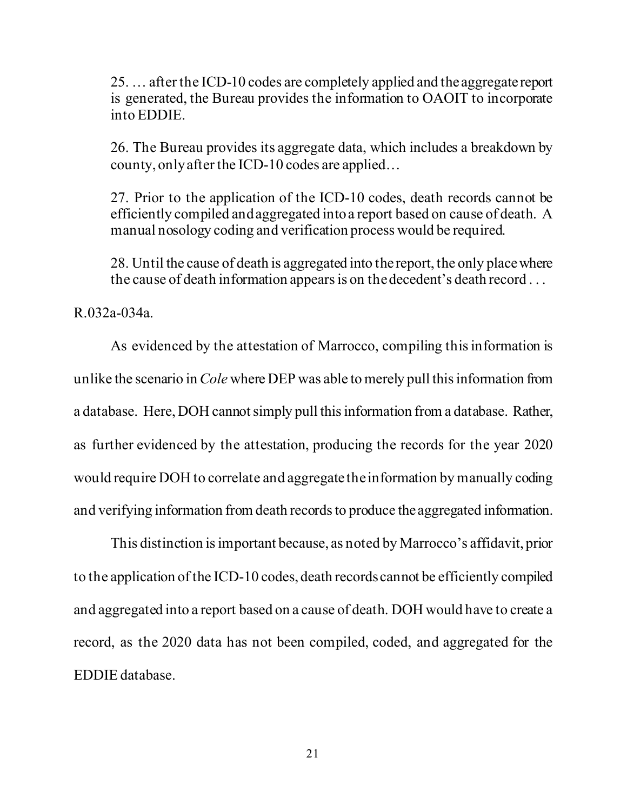25. … after the ICD-10 codes are completely applied and the aggregate report is generated, the Bureau provides the information to OAOIT to incorporate into EDDIE.

26. The Bureau provides its aggregate data, which includes a breakdown by county, only after the ICD-10 codes are applied…

27. Prior to the application of the ICD-10 codes, death records cannot be efficiently compiled and aggregated into a report based on cause of death. A manual nosology coding and verification process would be required.

28. Until the cause of death is aggregated into the report, the only place where the cause of death information appears is on the decedent's death record . . .

R.032a-034a.

As evidenced by the attestation of Marrocco, compiling this information is unlike the scenario in *Cole* where DEP was able to merely pull this information from a database. Here, DOH cannot simply pull this information from a database. Rather, as further evidenced by the attestation, producing the records for the year 2020 would require DOH to correlate and aggregate the information by manually coding and verifying information from death records to produce the aggregated information.

This distinction is important because, as noted by Marrocco's affidavit, prior to the application of the ICD-10 codes, death records cannot be efficiently compiled and aggregated into a report based on a cause of death. DOH would have to create a record, as the 2020 data has not been compiled, coded, and aggregated for the EDDIE database.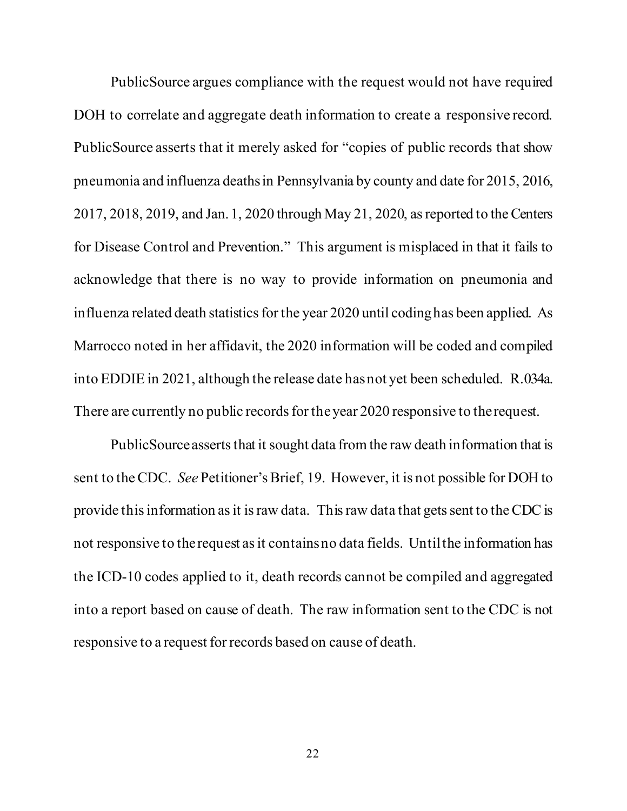PublicSource argues compliance with the request would not have required DOH to correlate and aggregate death information to create a responsive record. PublicSource asserts that it merely asked for "copies of public records that show pneumonia and influenza deaths in Pennsylvania by county and date for 2015, 2016, 2017, 2018, 2019, and Jan. 1, 2020 through May 21, 2020, as reported to the Centers for Disease Control and Prevention." This argument is misplaced in that it fails to acknowledge that there is no way to provide information on pneumonia and influenza related death statistics for the year 2020 until coding has been applied. As Marrocco noted in her affidavit, the 2020 information will be coded and compiled into EDDIE in 2021, although the release date has not yet been scheduled. R.034a. There are currently no public records for the year 2020 responsive to the request.

PublicSource asserts that it sought data from the raw death information that is sent to the CDC. *See* Petitioner's Brief, 19. However, it is not possible for DOH to provide this information as it is raw data. This raw data that gets sent to the CDC is not responsive to the request as it contains no data fields. Until the information has the ICD-10 codes applied to it, death records cannot be compiled and aggregated into a report based on cause of death. The raw information sent to the CDC is not responsive to a request for records based on cause of death.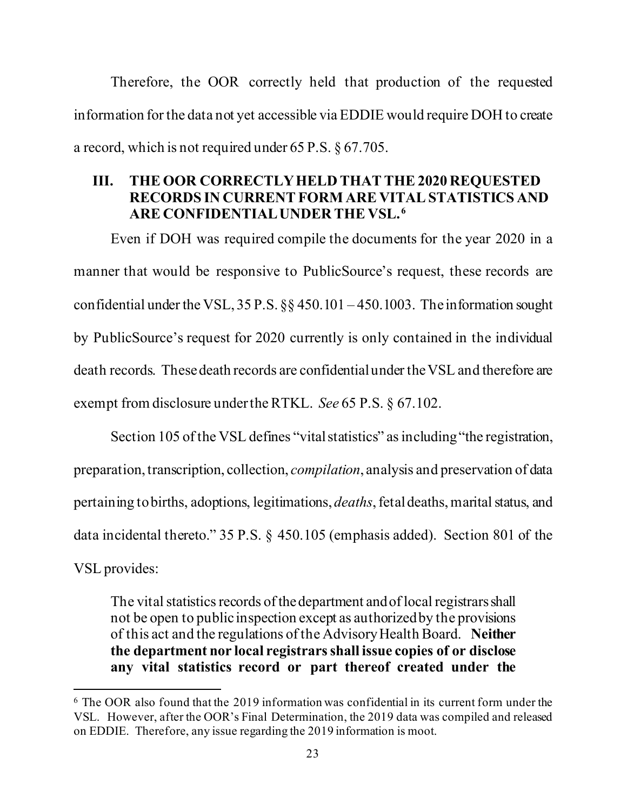Therefore, the OOR correctly held that production of the requested information for the data not yet accessible via EDDIE would require DOH to create a record, which is not required under 65 P.S. § 67.705.

### <span id="page-26-0"></span>**III. THE OOR CORRECTLY HELD THAT THE 2020 REQUESTED RECORDS IN CURRENT FORM ARE VITAL STATISTICS AND ARE CONFIDENTIALUNDER THE VSL. [6](#page-26-1)**

Even if DOH was required compile the documents for the year 2020 in a manner that would be responsive to PublicSource's request, these records are confidential under the VSL,  $35$  P.S.  $\S$  $\S$   $450.101 - 450.1003$ . The information sought by PublicSource's request for 2020 currently is only contained in the individual death records. These death records are confidential under the VSL and therefore are exempt from disclosure under the RTKL. *See* 65 P.S. § 67.102.

Section 105 of the VSL defines "vital statistics" as including "the registration, preparation, transcription, collection, *compilation*, analysis and preservation of data pertaining to births, adoptions, legitimations, *deaths*, fetal deaths, marital status, and data incidental thereto." 35 P.S. § 450.105 (emphasis added). Section 801 of the VSL provides:

The vital statistics records of the department and of local registrars shall not be open to public inspection except as authorized by the provisions of this act and the regulations of the Advisory Health Board. **Neither the department nor local registrars shall issue copies of or disclose any vital statistics record or part thereof created under the** 

<span id="page-26-1"></span> $6$  The OOR also found that the 2019 information was confidential in its current form under the VSL. However, after the OOR's Final Determination, the 2019 data was compiled and released on EDDIE. Therefore, any issue regarding the 2019 information is moot.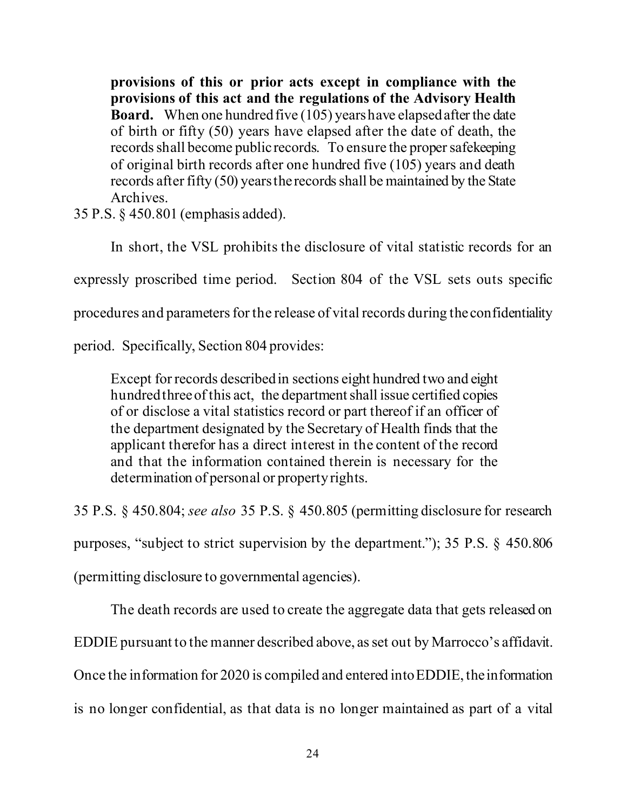**provisions of this or prior acts except in compliance with the provisions of this act and the regulations of the Advisory Health Board.** When one hundred five (105) years have elapsed after the date of birth or fifty (50) years have elapsed after the date of death, the records shall become public records. To ensure the proper safekeeping of original birth records after one hundred five (105) years and death records after fifty (50) years the records shall be maintained by the State Archives.

35 P.S. § 450.801 (emphasis added).

In short, the VSL prohibits the disclosure of vital statistic records for an expressly proscribed time period. Section 804 of the VSL sets outs specific procedures and parameters for the release of vital records during the confidentiality

period. Specifically, Section 804 provides:

Except for records described in sections eight hundred two and eight hundred three of this act, the department shall issue certified copies of or disclose a vital statistics record or part thereof if an officer of the department designated by the Secretary of Health finds that the applicant therefor has a direct interest in the content of the record and that the information contained therein is necessary for the determination of personal or property rights.

35 P.S. § 450.804; *see also* 35 P.S. § 450.805 (permitting disclosure for research

purposes, "subject to strict supervision by the department."); 35 P.S. § 450.806

(permitting disclosure to governmental agencies).

The death records are used to create the aggregate data that gets released on

EDDIE pursuant to the manner described above, as set out by Marrocco's affidavit.

Once the information for 2020 is compiled and entered into EDDIE, the information

is no longer confidential, as that data is no longer maintained as part of a vital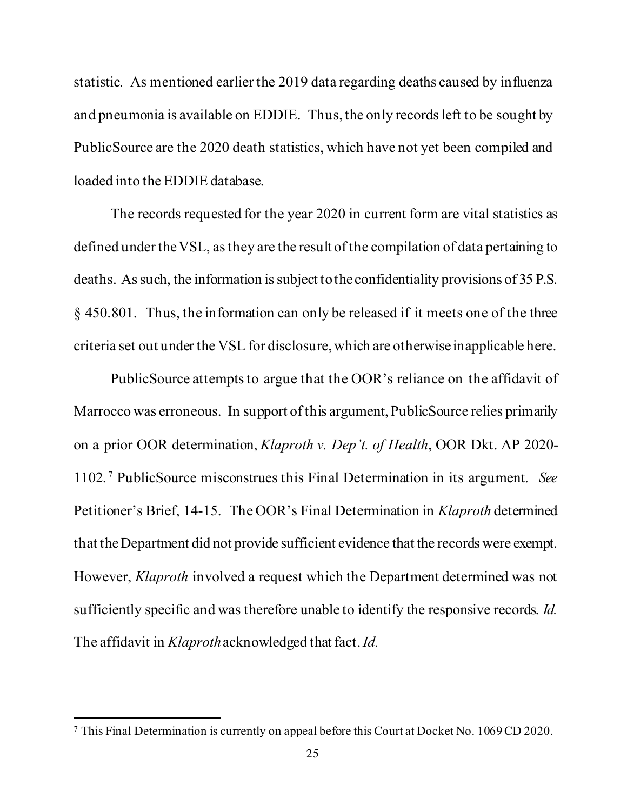statistic. As mentioned earlier the 2019 data regarding deaths caused by influenza and pneumonia is available on EDDIE. Thus, the only records left to be sought by PublicSource are the 2020 death statistics, which have not yet been compiled and loaded into the EDDIE database.

The records requested for the year 2020 in current form are vital statistics as defined under the VSL, as they are the result of the compilation of data pertaining to deaths. As such, the information is subject to the confidentiality provisions of 35 P.S. § 450.801. Thus, the information can only be released if it meets one of the three criteria set out under the VSL for disclosure, which are otherwise inapplicable here.

PublicSource attemptsto argue that the OOR's reliance on the affidavit of Marrocco was erroneous. In support of this argument, PublicSource relies primarily on a prior OOR determination, *Klaproth v. Dep't. of Health*, OOR Dkt. AP 2020- 1102*.* [7](#page-28-0) PublicSource misconstrues this Final Determination in its argument. *See* Petitioner's Brief, 14-15. The OOR's Final Determination in *Klaproth* determined that the Department did not provide sufficient evidence that the records were exempt. However, *Klaproth* involved a request which the Department determined was not sufficiently specific and was therefore unable to identify the responsive records. *Id.* The affidavit in *Klaproth*acknowledged that fact.*Id.*

<span id="page-28-0"></span><sup>7</sup> This Final Determination is currently on appeal before this Court at Docket No. 1069 CD 2020.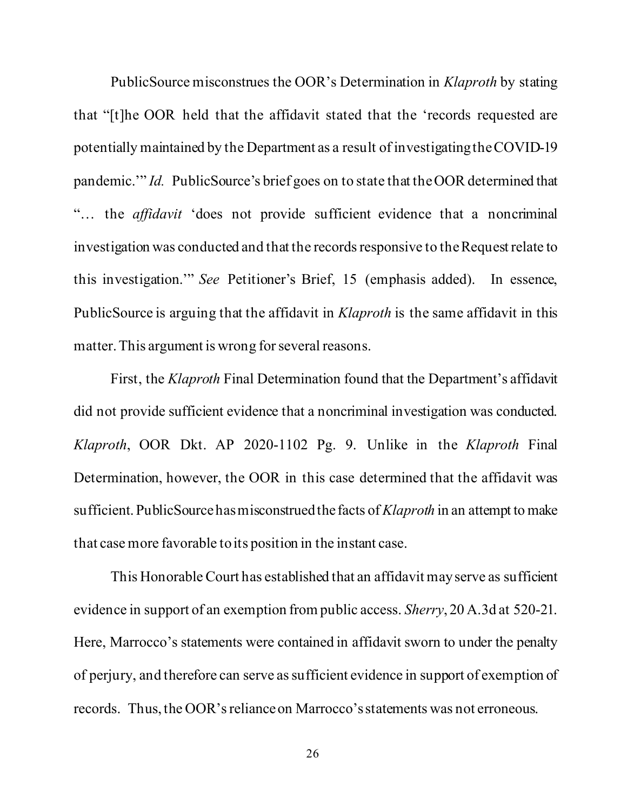PublicSource misconstrues the OOR's Determination in *Klaproth* by stating that "[t]he OOR held that the affidavit stated that the 'records requested are potentially maintained by the Department as a result of investigating the COVID-19 pandemic.'" *Id.* PublicSource's brief goes on to state that the OOR determined that "… the *affidavit* 'does not provide sufficient evidence that a noncriminal investigation was conducted and that the records responsive to the Request relate to this investigation.'" *See* Petitioner's Brief, 15 (emphasis added). In essence, PublicSource is arguing that the affidavit in *Klaproth* is the same affidavit in this matter. This argument is wrong for several reasons.

First, the *Klaproth* Final Determination found that the Department's affidavit did not provide sufficient evidence that a noncriminal investigation was conducted. *Klaproth*, OOR Dkt. AP 2020-1102 Pg. 9. Unlike in the *Klaproth* Final Determination, however, the OOR in this case determined that the affidavit was sufficient. PublicSourcehas misconstrued the facts of *Klaproth* in an attempt to make that case more favorable to its position in the instant case.

This Honorable Court has established that an affidavit may serve as sufficient evidence in support of an exemption from public access. *Sherry*, 20 A.3d at 520-21. Here, Marrocco's statements were contained in affidavit sworn to under the penalty of perjury, and therefore can serve as sufficient evidence in support of exemption of records. Thus, the OOR's reliance on Marrocco's statements was not erroneous.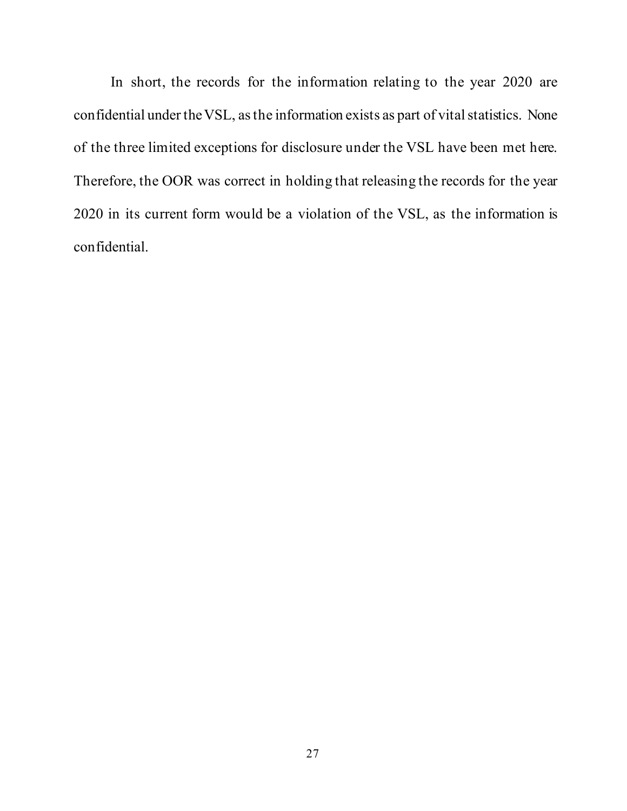In short, the records for the information relating to the year 2020 are confidential under the VSL, as the information exists as part of vital statistics. None of the three limited exceptions for disclosure under the VSL have been met here. Therefore, the OOR was correct in holding that releasing the records for the year 2020 in its current form would be a violation of the VSL, as the information is confidential.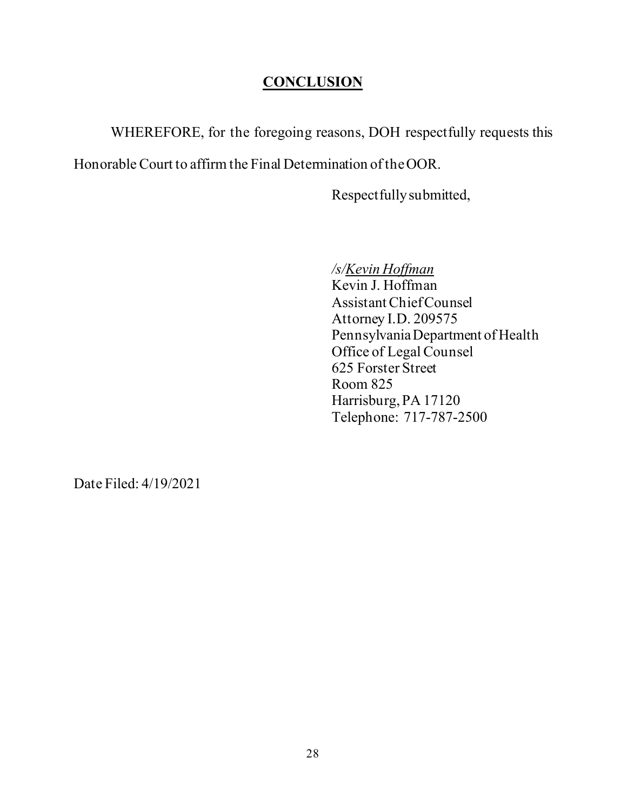## **CONCLUSION**

<span id="page-31-0"></span>WHEREFORE, for the foregoing reasons, DOH respectfully requests this

Honorable Court to affirm the Final Determination of the OOR.

Respectfully submitted,

*/s/Kevin Hoffman*

Kevin J. Hoffman Assistant Chief Counsel Attorney I.D. 209575 Pennsylvania Department of Health Office of Legal Counsel 625 Forster Street Room 825 Harrisburg, PA 17120 Telephone: 717-787-2500

Date Filed: 4/19/2021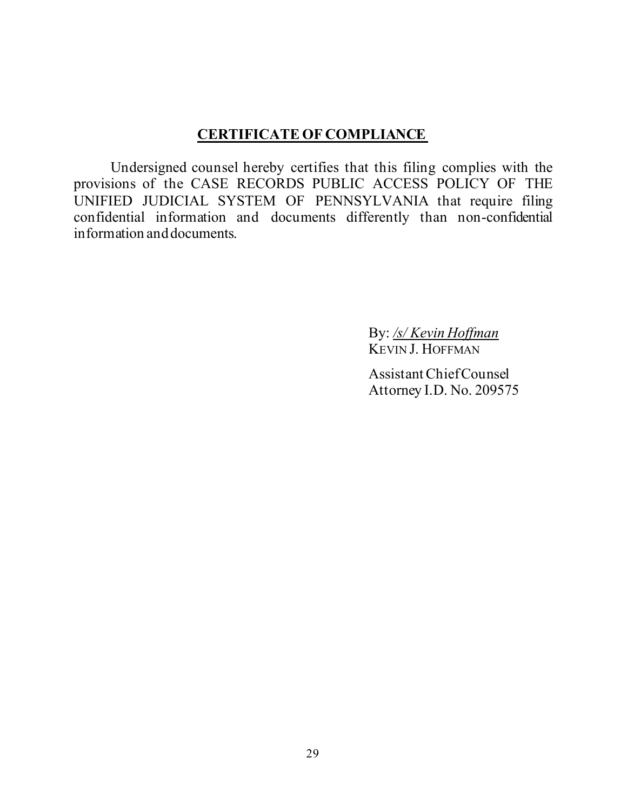## **CERTIFICATE OF COMPLIANCE**

Undersigned counsel hereby certifies that this filing complies with the provisions of the CASE RECORDS PUBLIC ACCESS POLICY OF THE UNIFIED JUDICIAL SYSTEM OF PENNSYLVANIA that require filing confidential information and documents differently than non-confidential information and documents.

> By: */s/ Kevin Hoffman* KEVIN J. HOFFMAN

AssistantChiefCounsel Attorney I.D. No. 209575